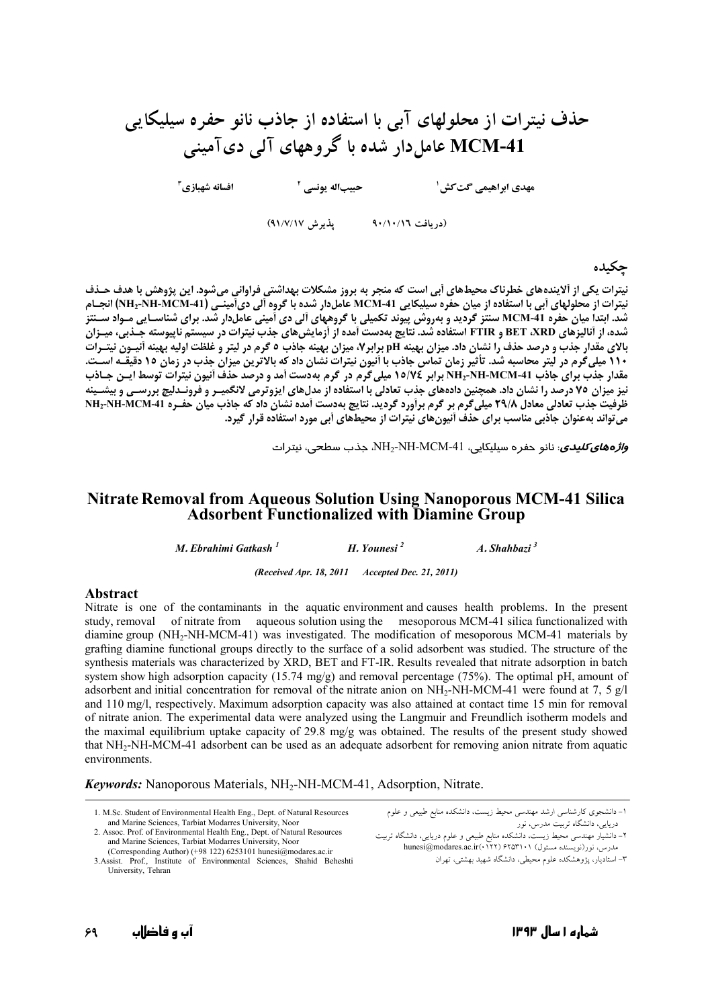# حذف نیترات از محلولهای آبی با استفاده از جاذب نانو حفره سیلیکایی MCM-41 عامل دار شده با گروههای آلی دیآمینی

حبيباله يونسي <sup>٢</sup> افسانه شهبازي ً

مهدی ابراهیمی گت کش ۱

(دريافت ٩٠/١٠/١٦ - پذيرش ٩١/٧/١٧)

## حكىدە

نیترات یکی از آلایندههای خطرناک محیطهای آبی است که منجر به بروز مشکلات بهداشتی فراوانی میشود. این پژوهش با هدف حـذف نیترات از محلولهای اَبی با استفاده از میان حفره سیلیکایی MCM-41 عاملدار شده با گروه اَلی دیآمینـی (NH2-NH-MCM-41) انجـام .<br>شد. ابتدا میان حفره MCM-41 سنتز گردید و بهروش پیوند تکمیلی با گروههای آلی دی آمینی عاملدار شد. برای شناسـایی مـواد سـنتز شده، از آنالیزهای BET ،XRD و FTIR استفاده شد. نتایج بهدست آمده از آزمایش های جذب نیترات در سیستم ناپیوسته جـذبی، میـزان بالای مقدار جذب و درصد حذف را نشان داد. میزان بهینه pH برابر۷، میزان بهینه جاذب ۵ گرم در لیتر و غلظت اولیه بهینه آنیــون نیتــرات 11۰ میلی گرم در لیتر محاسبه شد. تأثیر زمان تماس جاذب با أنیون نیترات نشان داد که بالاترین میزان جذب در زمان ۱۰ دقیقـه آسـت. ـ ی د اگر - روس سیست کرد و سیست به محمد برابر ۱۰۰۰۰ - استان - در گرم به دست آمد و درصد حذف آنیون نیترات توسط آ<br>مقدار جذب برای جاذب NH2-NH-MCM-41 برابر ۱۵/۷۶ میلی گرم در گرم بهدست آمد و درصد حذف آنیون نیترات توسط ایــن جـا نیز میزان ۷۵ درصد را نشان داد. همچنین دادههای جذب تعادلی با استفاده از مدلهای ایزوترمی لانگمیـر و فرونـدلیچ بررسـی و بیشـینه ظرفیت جذب تعادلی معادل ۲۹/۸ میلی گرم بر گرم برآورد گردید. نتایج بهدست آمده نشان داد که جاذب میان حفـره NH2-NH-MCM-41 می تواند بهعنوان جادبی مناسب برای حذف اَنیون های نیترات از محیط های اَبی مورد استفاده قرار گیرد.

و*اژههای کلیدی*: نانو حفره سیلیکایی، NH2-NH-MCM-41، جذب سطحی، نیترات

#### **Nitrate Removal from Aqueous Solution Using Nanoporous MCM-41 Silica Adsorbent Functionalized with Diamine Group**

M. Ebrahimi Gatkash<sup>1</sup> H. Younesi<sup>2</sup>  $A. Shahbari<sup>3</sup>$ 

(Received Apr. 18, 2011 Accepted Dec. 21, 2011)

#### **Abstract**

Nitrate is one of the contaminants in the aquatic environment and causes health problems. In the present study, removal of nitrate from aqueous solution using the mesoporous MCM-41 silica functionalized with diamine group  $(NH_2-NH-MCM-41)$  was investigated. The modification of mesoporous MCM-41 materials by grafting diamine functional groups directly to the surface of a solid adsorbent was studied. The structure of the synthesis materials was characterized by XRD, BET and FT-IR. Results revealed that nitrate adsorption in batch system show high adsorption capacity (15.74 mg/g) and removal percentage (75%). The optimal pH, amount of adsorbent and initial concentration for removal of the nitrate anion on NH<sub>2</sub>-NH-MCM-41 were found at 7, 5 g/l and 110 mg/l, respectively. Maximum adsorption capacity was also attained at contact time 15 min for removal of nitrate anion. The experimental data were analyzed using the Langmuir and Freundlich isotherm models and the maximal equilibrium uptake capacity of 29.8 mg/g was obtained. The results of the present study showed that NH<sub>2</sub>-NH-MCM-41 adsorbent can be used as an adequate adsorbent for removing anion nitrate from aquatic environments.

**Keywords:** Nanoporous Materials, NH<sub>2</sub>-NH-MCM-41, Adsorption, Nitrate.

<sup>1.</sup> M.Sc. Student of Environmental Health Eng., Dept. of Natural Resources and Marine Sciences, Tarbiat Modarres University, Noor

<sup>2.</sup> Assoc. Prof. of Environmental Health Eng., Dept. of Natural Resources and Marine Sciences, Tarbiat Modarres University, Noor

<sup>(</sup>Corresponding Author) (+98 122) 6253101 hunesi@modares.ac.ir<br>3.Assist. Prof., Institute of Environmental Sciences, Shahid Beheshti University, Tehran

۱– دانشجوی کارشناسی ارشد مهندسی محیط زیست، دانشکده منابع طبیعی و علوم ۔<br>دریایی، دانشگاه تربیت مدرس، نور

<sup>-----&</sup>lt;br>۲– دانشیار مهندسی محیط زیست، دانشکده منابع طبیعی و علوم دریایی، دانشگاه تربیت<br>مدرس، نور(نویسنده مسئول) ۱۰-۱۳۵۲( hunesi@modares.ac.ir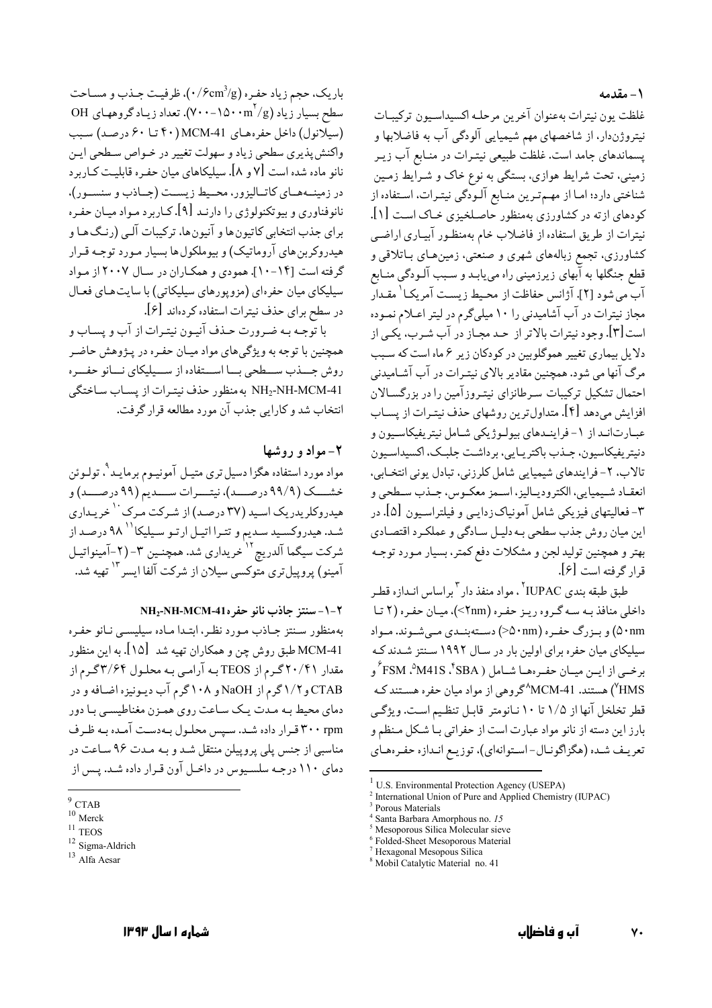#### ۱ – مقدمه

غلظت يون نيترات بهعنوان آخرين مرحلـه اكسيداسـيون تركيبـات نیتروژندار، از شاخصهای مهم شیمیایی آلودگی آب به فاضلابها و پسماندهای جامد است. غلظت طبیعی نیتـرات در منـابع آب زیـر زمینی، تحت شرایط هوازی، بستگی به نوع خاک و شـرایط زمـین شناختی دارد؛ امـا از مهـمتـرین منـابع آلـودگی نیتـرات، اسـتفاده از کودهای ازته در کشاورزی بهمنظور حاصلخیزی خـاک اسـت [۱]. نیترات از طریق استفاده از فاضلاب خام بهمنظـور آبیـاری اراضـی کشاورزی، تجمع زبالههای شهری و صنعتی، زمینهای بـاتلاقی و قطع جنگلها به آبهای زیرزمینی راه مییابـد و سـبب آلـودگی منـابع آب مي شود [٢]. آژانس حفاظت از محـيط زيسـت آمريكـا<sup>\</sup> مقـدار مجاز نیترات در آب آشامیدنی را ۱۰ میلیگرم در لیتر اعـلام نمـوده است[۳]. وجود نیترات بالاتر از حـد مجـاز در آب شـرب، یکـی از دلایل بیماری تغییر هموگلوبین در کودکان زیر ۶ ماه است که سـبب مرگ آنها می شود. همچنین مقادیر بالای نیتیرات در آب آشیامیدنی احتمال تشکیل ترکیبات سرطانزای نیتـروزآمین را در بزرگسـالان افزایش می دهد [۴]. متداول ترین روشهای حذف نیتیرات از پسیاب عبـارتانـد از ١-فراينـدهاي بيولـوژيكي شـامل نيتريفيكاسـيون و دنيټر بفيکاسيون، حيذپ پاکتر پيايي، پر داشت حليڪ، اکسيداسيون تالاب، ۲- فرایندهای شیمیایی شامل کلرزنی، تبادل یونی انتخـابی، انعقـاد شـيميايي، الكتروديـاليز، اسـمز معكـوس، جـذب سـطحي و ۳- فعالیتهای فیزیکی شامل آمونیاک(دایـی و فیلتراسـیون [۵]. در این میان روش جذب سطحی بـه دلیـل سـادگی و عملکـرد اقتصـادی بهتر و همچنین تولید لجن و مشکلات دفع کمتر، بسیار مـورد توجـه قرار گرفته است [۶].

طبق طبقه بندي IUPAC' ، مواد منفذ دار ٣ براساس انـدازه قطـر داخلي منافذ په سه گروه د په حفيره (۲nm>)، ميان حفيره (۲ تبا ۵۰nm) و بیزرگ حفیره (۵۰nm>) دستهبنیدی می شیوند. میواد سیلیکای میان حفره برای اولین بار در سـال ۱۹۹۲ سـنتز شـدند کـه برخــي از ايــن ميــان حفــرههــا شــامل ( SBA\*، SM^، AM41S\* و HMS) هستند. MCM-41^گروهي از مواد ميان حفره هسـتند كـه قطر تخلخل آنها از ۱/۵ تا ۱۰ نـانومتر قابـل تنظـيم اسـت. ويژگـي بارز این دسته از نانو مواد عبارت است از حفراتی بـا شـکل مـنظم و تعریـف شـده (هگزاگونـال-اسـتوانهاي)، توزیـع انـدازه حفـرههـاي

باريک، حجم زياد حفـره (٠/۶cm3/g)، ظرفيـت جـذب و مسـاحت سطح بسیار زیاد (۱۵۰۰m <sup>۲</sup>/g). تعداد زیـاد گروههـای OH (سیلانول) داخل حفرههای MCM-41 (۴۰ تنا ۶۰ درصد) سبب واکنش پذیری سطحی زیاد و سهولت تغییر در خـواص سـطحی ایـن نانو ماده شده است [۷ و ۸]. سیلیکاهای میان حفره قابلیت کـاربرد در زمینــههــای کاتــالیزور، محــیط زیســت (جــاذب و سنســور)، نانوفناوري و بيوتکنولوژي را دارنـد [۹]. کــاربرد مـواد ميــان حفـره براي جذب انتخابي كاتيون ها و آنيون ها، تركيبات آلبي (رنـگ هـا و هیدروکربن های آروماتیک) و بیوملکول ها بسیار مـورد توجـه قـرار گرفته است [۱۴-۱۰]. همودي و همكـاران در سـال ۲۰۰۷ از مـواد سیلیکای میان حفرهای (مزویورهای سیلیکاتی) با سایت هـای فعـال در سطح برای حذف نیترات استفاده کردهاند [۶].

با توجه به ضرورت حـذف آنيـون نيتـرات از آب و پسـاب و همچنین با توجه به ویژگی های مواد میـان حفـره در پـژوهش حاضـر روش جسذب ســطحي بــا اســتفاده از ســيليكاي نــانو حفــره NH2-NH-MCM-41 به منظور حذف نيترات از يساب ساختگى انتخاب شد و كارايي جذب آن مورد مطالعه قرار گرفت.

## ۲- مواد و روشها

مواد مورد استفاده هگزا دسیل تری متیـل آمونیـوم برمایـد <sup>۹</sup>، تولـوئن خشـــک (۹۹/۹ درصـــد)، نیتـــرات ســـدیم (۹۹ درصـــد) و هیدروکلریدریک اسید (۳۷ درصد) از شرکت مرک <sup>۱</sup> خریـداری شـد. هیدروکسـید سـدیم و تتـرا اتیـل ارتـو سـیلیکا `` ۹۸ درصـد از شرکت سیگما آلدریچ <sup>۱۲</sup>خریداری شد. همچنـین ۳-(۲-آمینواتیـل آمینو) پروییلتری متوکسی سیلان از شرکت آلفا ایسر<sup>۱۳</sup> تهیه شد.

NH<sub>2</sub>-NH-MCM-41. سنتز حاذب نانو حفر 14-NH

بهمنظور سنتز جاذب مورد نظر، ابتدا ماده سيليسيي نانو حفره MCM-41 طبق روش چن و همکاران تهیه شد [۱۵]. به این منظور مقدار ۲۰/۴۱ گـرم از TEOS بـه آرامـي بـه محلـول ۳/۶۴گـرم از CTAB و ۱/۲ گرم از NaOH و ۱۰۸گرم آب دیـونیزه اضـافه و در دمای محیط به مدت یک ساعت روی همزن مغناطیسی با دور ۳۰۰ rpm قرار داده شد. سیس محلول به دست آمده به ظرف مناسبی از جنس پلی پروپیلن منتقل شد و بـه مـدت ۹۶ سـاعت در دمای ۱۱۰ درجـه سلسـیوس در داخـل آون قـرار داده شـد. پـس از

<sup>&</sup>lt;sup>1</sup> U.S. Environmental Protection Agency (USEPA)

<sup>&</sup>lt;sup>2</sup> International Union of Pure and Applied Chemistry (IUPAC)

Porous Materials

Santa Barbara Amorphous no. 15

<sup>&</sup>lt;sup>5</sup> Mesoporous Silica Molecular sieve

Folded-Sheet Mesoporous Material Hexagonal Mesopous Silica

<sup>&</sup>lt;sup>8</sup> Mobil Catalytic Material no. 41

 $^{9}$  CTAB

 $10$  Merck

 $11$  TEOS

<sup>&</sup>lt;sup>12</sup> Sigma-Aldrich

 $^{13}$ Alfa Aesar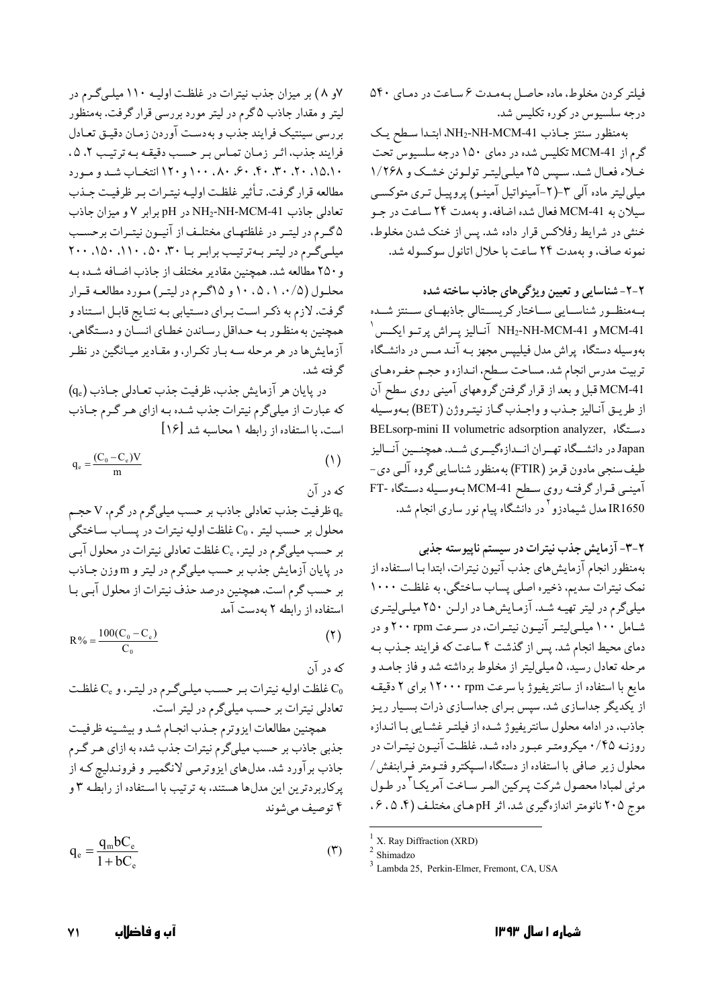فیلتر کردن مخلوط، ماده حاصل بهمدت ۶ ساعت در دمای ۵۴۰ درجه سلسیوس در کوره تکلیس شد.

به منظور سنتز جاذب NH2-NH-MCM-41، ابتدا سطح يك گرم از MCM-41 تکلیس شده در دمای ۱۵۰ درجه سلسیوس تحت خلاء فعـال شـد. سـپس ٢٥ ميلـي/يتـر تولـوئن خشـك و ١/٢۶٨ میلی لیتر ماده آلی ۳–(۲-آمینواتیل آمینو) پروپیـل تـری متوکسـی سيلان به MCM-41 فعال شده اضافه، و بهمدت ٢۴ سـاعت در جـو خنثی در شرایط رفلاکس قرار داده شد. پس از خنک شدن مخلوط، نمونه صاف، و بهمدت ٢۴ ساعت با حلال اتانول سوكسوله شد.

۲-۲- شناسایی و تعیین ویژگیهای جاذب ساخته شده بهمنظور شناسـايي سـاختار كريسـتالي جاذبهـاي سـنتز شـده  $^{+}$ و NH2-NH-MCM-41 آنـاليز پــراش پرتــو ايكــس  ${\rm MCM}$ -41 بهوسیله دستگاه پراش مدل فیلیپس مجهز بـه آنـد مـس در دانشـگاه تربیت مدرس انجام شد. مساحت سطح، انـدازه و حجـم حفـرههـای MCM-41 قبل و بعد از قرار گرفتن گروههای آمینی روی سطح آن از طريـق آنـاليز جـذب و واجـذب گـاز نيتـروژن (BET) بـهوسـيله BELsorp-mini II volumetric adsorption analyzer, دستگاه Japan در دانشـــگاه تهــران انــدازهگیـــری شـــد. همچنـــین آنــالیز طیف سنجی مادون قرمز (FTIR) به منظور شناسایی گروه آلـی دی-آمینمی قـرار گرفتـه روی سـطح MCM-41بـهوسـیله دسـتگاه -FT IR1650 مدل شیمادزو<sup>۲</sup> در دانشگاه پیام نور ساری انجام شد.

۲-۳- آزمایش جذب نیترات در سیستم ناپیوسته جذبی

بهمنظور انجام آزمايش،هاي جذب آنيون نيترات، ابتدا بـا اسـتفاده از نمک نیترات سدیم، ذخیره اصلی پساب ساختگی، به غلظت ١٠٠٠ میلیگرم در لیتر تهیه شد. آزمایش ها در ارلـن ۲۵۰ میلـیلیتـری شامل ۱۰۰ میلهایتر آنیون نیترات، در سرعت ۲۰۰ rpm و در دمای محیط انجام شد. پس از گذشت ۴ ساعت که فرایند جـذب بـه مرحله تعادل رسید، ۵ میلیلیتر از مخلوط برداشته شد و فاز جامـد و مايع با استفاده از سانتريفيوژ با سرعت ۱۲۰۰۰ rpm براي ٢ دقيقـه از یکدیگر جداسازی شد. سپس بـرای جداسـازی ذرات بسـیار ریـز جاذب، در ادامه محلول سانتریفیوژ شده از فیلتـر غشـایی بـا انـدازه روزنـه ۰/۴۵ میکرومتـر عبـور داده شـد. غلظـت آنيـون نيتـرات در محلول زیر صافی با استفاده از دستگاه اسپکترو فتـومتر فـرابنفش/ مرئي لمبادا محصول شركت پـركين المـر سـاخت آمريكـا<sup>٣</sup>در طـول موج ۲۰۵ نانومتر اندازهگیری شد. اثر pH های مختلف (۴، ۵، ۶،

<sup>1</sup> X. Ray Diffraction (XRD)<sup>2</sup> Shimadzo

٧و ٨) بر ميزان جذب نيترات در غلظت اوليـه ١١٠ ميلـى گـرم در لیتر و مقدار جاذب ۵ گرم در لیتر مورد بررسی قرار گرفت. بهمنظور بررسي سينتيك فرايند جذب و بهدست آوردن زمـان دقيـق تعـادل فرايند جذب، اثر زمان تماس بر حسب دقيقه به ترتيب ٢، ٥، ۰٬۵٬۱۰ ۴۰٬۳۰٬۲۰٬۴۰٬۴۰ و۱۲۰ انتخـاب شـد و مـورد مطالعه قرار گرفت. تـأثير غلظت اوليـه نيتـرات بـر ظرفيـت جـذب تعادلی جاذب NH2-NH-MCM-41 در pH برابر ٧ و ميزان جاذب ۵گرم در لیتـر در غلظتهـاى مختلـف از آنيـون نيتـرات برحسـب میلـیگرم در لیتـر بـهترتیـب برابـر بـا ۳۰، ۵۰، ۱۱۰، ۱۵۰، ۲۰۰ و ۲۵۰ مطالعه شد. همچنین مقادیر مختلف از جاذب اضـافه شـده بـه محلـول (۰/۵، ۰۸، ۱۰،۵ و ۱۵گـرم در ليتـر) مـورد مطالعـه قـرار گرفت. لازم به ذکـر اسـت بـراي دسـتيابي بـه نتـايج قابـل اسـتناد و همچنین به منظور به حـداقل رسـاندن خطـاي انسـان و دسـتگاهي، آزمایشها در هر مرحله سـه بـار تکـرار، و مقـادیر میـانگین در نظـر گر فته شد.

در پایان هر آزمایش جذب، ظرفیت جذب تعـادلی جـاذب (qe) که عبارت از میلیگرم نیترات جذب شـده بـه ازای هـر گـرم جـاذب است، با استفاده از رابطه ١ محاسبه شد [١۶]

$$
q_e = \frac{(C_0 - C_e)V}{m} \tag{1}
$$

که در آن ظرفیت جذب تعادلی جاذب بر حسب میلیگرم در گرم، V حجم  $\rm q_e$ محلول بر حسب ليتر ، C0 غلظت اوليه نيترات در پساب ساختگى بر حسب میلیگرم در لیتر، یCو غلظت تعادلی نیترات در محلول آبـی در پایان آزمایش جذب بر حسب میلیگرم در لیتر و mوزن جـاذب بر حسب گرم است. همچنین درصد حذف نیترات از محلول آبـي بـا استفاده از رابطه ۲ بهدست آمد

$$
R\% = \frac{100(C_0 - C_e)}{C_e} \tag{5}
$$

که در آن نطقت اوليه نيترات بر حسب ميلي گرم در ليتر، و C<sub>e</sub> غلظت G تعادلی نیترات بر حسب میلیگرم در لیتر است. همچنین مطالعات ایزوترم جـذب انجـام شـد و بیشـینه ظرفیـت جذبی جاذب بر حسب میلیگرم نیترات جذب شده به ازای هـر گـرم جاذب برآورد شد. مدلهای ایزوترمـی لانگمیـر و فرونـدلیچ کـه از

 $q_e = \frac{q_m b C_e}{1 + b C_e}$  $(1)$ 

پرکاربردترین این مدلها هستند، به ترتیب با استفاده از رابطـه ۳ و

۴ تو صيف مي شوند

<sup>&</sup>lt;sup>3</sup> Lambda 25, Perkin-Elmer, Fremont, CA, USA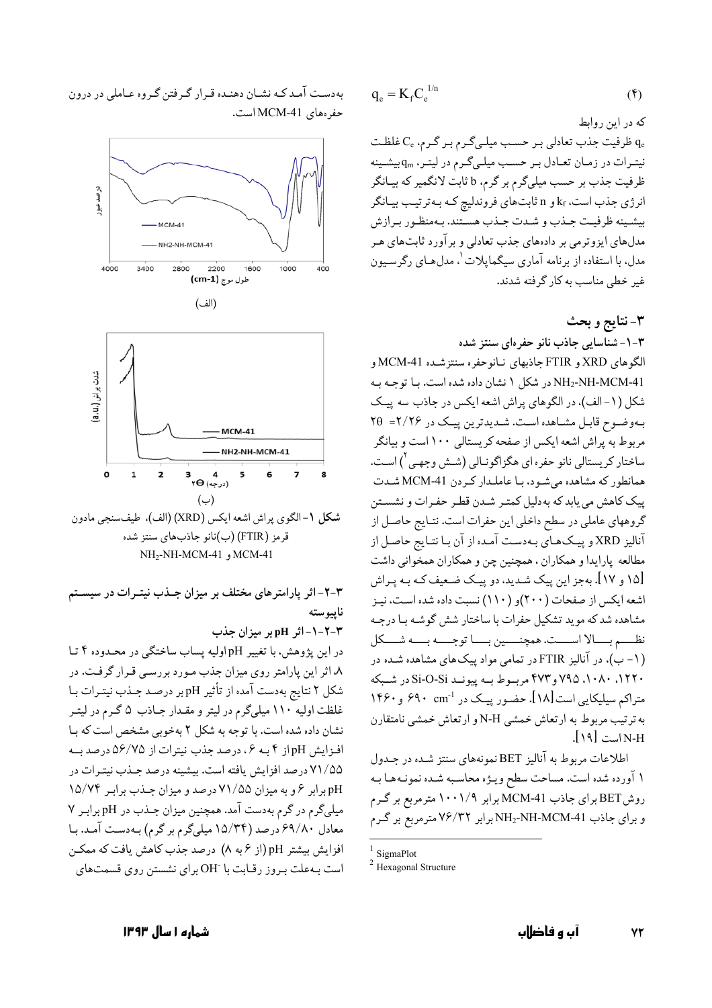$$
q_e = K_f C_e^{1/n}
$$
 (6)

که در این روابط ظرفیت جذب تعادلی بر حسب میلمیگرم بر گرم،  $\mathrm{C_{e}}$  غلظت  $\mathrm{q_{e}}$ نیتـرات در زمـان تعـادل بـر حسـب میلـیگـرم در لیتـر، q<sub>m</sub> بیشـینه ظرفیت جذب بر حسب میلیگرم بر گرم، b ثابت لانگمیر که بیـانگر انرژی جذب است، kf و n ثابتهای فروندلیچ که به ترتیب بیانگر بيشـينه ظرفيـت جـذب و شـدت جـذب هسـتند. بـهمنظـور بـرازش مدلهای ایزوترمی بر دادههای جذب تعادلی و برآورد ثابتهای هـر مدل، با استفاده از برنامه آماری سیگمایلات \. مدلهـای رگرسـیون غیر خطی مناسب به کار گرفته شدند.

٣-نتايج و بحث ١-٣- شناسايي جاذب نانو حفرهاي سنتز شده الگوهاي XRD و FTIR جاذبهاي نـانوحفره سنتزشـده MCM-41 و NH2-NH-MCM-41 در شكل ١ نشان داده شده است. با توجه به شکل (۱-الف)، در الگوهای پراش اشعه ایکس در جاذب سه پیک بهوضوح قابل مشاهده است. شدیدترین پیک در ۲/۲۶= ۲۵ مربوط به پراش اشعه ایکس از صفحه کریستالی ۱۰۰ است و بیانگر ساختار كريستالي نانو حفره اي هگزاگونـالي (شـش وجهـي <sup>٢</sup>) اسـت. همانطور که مشاهده می شود، بـا عاملـدار کـردن MCM-41 شـدت ييک کاهش مي يابد که به دليل کمتر شـدن قطـر حفـرات و نشسـتن گروههای عاملی در سطح داخلی این حفرات است. نتـایج حاصـل از آنالیز XRD و پیکھای بـهدست آمـده از آن بـا نتـایج حاصـل از مطالعه پارایدا و همکاران ، همچنین چن و همکاران همخوانی داشت [۱۵ و ۱۷]. بهجز این پیک شـدید، دو پیـک ضـعیف کـه بـه پـراش اشعه ایکس از صفحات (۲۰۰)و (۱۱۰) نسبت داده شده است، نیـز مشاهده شد که موید تشکیل حفرات با ساختار شش گوشـه بـا درجـه نظـــم بــــالا اســــت. همچنـــــين بــــا توجــــه بــــه شــــكل .<br>(۱- ب)، در آنالیز FTIR در تمامی مواد پیک های مشاهده شــده در . ۱۲۲. ۸۰۸۰، ۷۹۵ و ۴۷۳ مربوط بـه پیونـد Si-O-Si در شـبکه متراكم سيليكايي است [١٨]. حضـور پيـك در ''۶۹۰ cm و ١۴۶۰ به ترتیب مربوط به ارتعاش خمشی N-H و ارتعاش خمشی نامتقارن N-H است [۱۹].

اطلاعات مربوط به آنالیز BET نمونههای سنتز شده در جـدول ۱ آورده شده است. مساحت سطح ويـژه محاسـبه شـده نمونـههـا بـه روش BET برای جاذب MCM-41 برابر ۱۰۰۱/۹ مترمربع بر گـرم و برای جاذب NH2-NH-MCM-41 برابر ۷۶/۳۲ متر مربع بر گرم

به دست آمد کـه نشـان دهنـده قـرار گـرفتن گـروه عـاملي در درون حفر ەهاي MCM-41 است.



قرمز (FTIR) (ب)نانو جاذبهای سنتز شده MCM-41 و NH-MCM-41

۳-۲- اثر پارامترهای مختلف بر میزان جـذب نیتـرات در سیسـتم ناسوسته ٣-٢-١-اثر pH بر ميزان جذب در این یژوهش، با تغییر pHوالیه پساب ساختگی در محـدوده ۴ تـا ۸، اثر این پارامتر روی میزان جذب مـورد بررسـی قـرار گرفـت. در شکل ۲ نتایج بهدست آمده از تأثیر pH بر درصد جـذب نیتـرات بـا غلظت اولیه ١١٠ میلیگرم در لیتر و مقدار جاذب ۵ گرم در لیتر نشان داده شده است. با توجه به شکل ٢ بهخوبی مشخص است که با افزایش pH از ۴ به ۶، درصد جذب نیترات از ۵۶/۷۵ درصد به ۷۱/۵۵ درصد افزایش یافته است. بیشینه درصد جـذب نیتـرات در pH برابر ۶ و به میزان ۷۱/۵۵ درصد و میزان جـذب برابـر ۱۵/۷۴ میلیگرم در گرم بهدست آمد. همچنین میزان جـذب در pH برابر ۷ معادل ۶۹/۸۰ درصد (۱۵/۳۴ میلیگرم بر گرم) بـهدسـت آمـد. بـا افزایش بیشتر pH (از ۶ به ۸) درصد جذب کاهش یافت که ممکن است به علت به وز رقبات با OH برای نشستن روی قسمتهای

 $1$  SigmaPlot

 $2$  Hexagonal Structure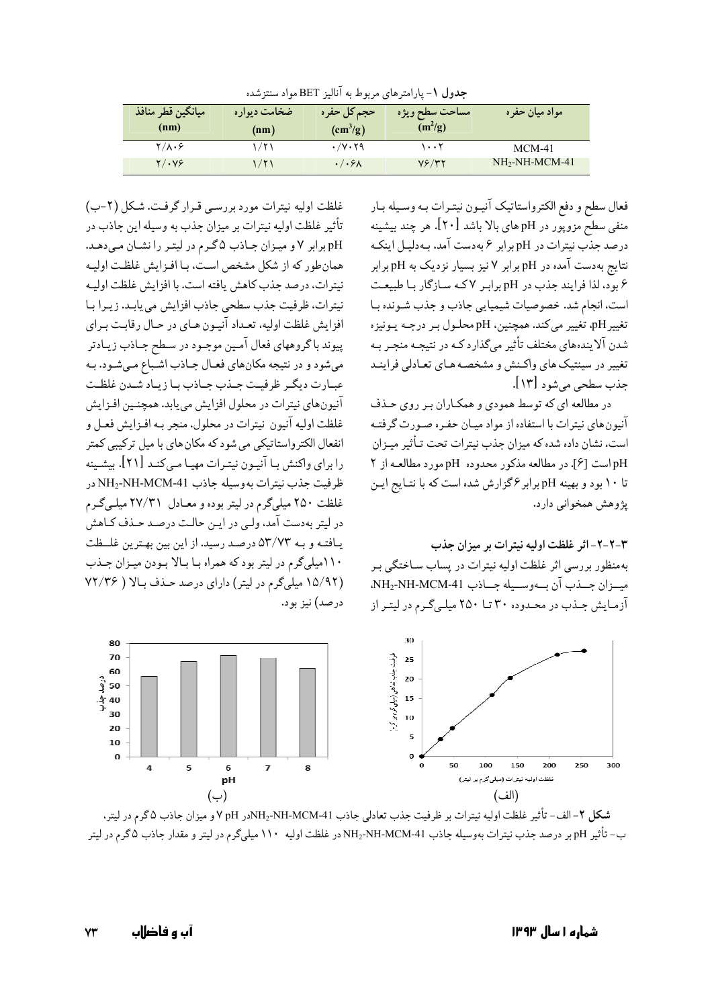| جدول ۱ – پارامبرهای مربوط به آنالیز ۱ تالا مواد سنترسده |              |               |                |                |
|---------------------------------------------------------|--------------|---------------|----------------|----------------|
| ميانگين قطر منافذ                                       | ضخامت دیواره | حجم کل حفرہ   | مساحت سطح ويژه | مواد میان حفره |
| (nm)                                                    | (nm)         | $\rm(cm^3/g)$ | $(m^2/g)$      |                |

 $\overline{\cdots}$ 

 $Y$   $Y$ 

 $\sqrt{v \cdot 59}$ 

 $\cdot/\cdot$ ۶۸

حددان في المائة جاء بن عليه أن ال RET والمرتبة في

فعال سطح و دفع الكترواستاتيك آنيـون نيتـرات بـه وسـيله بـار .<br>منفی سطح مزوپور در pH های بالا باشد [۲۰]. هر چند بیشینه درصد جذب نیترات در pH برابر ۶ به دست آمد، بـه دلیـل اینکـه نتایج بهدست آمده در pH برابر ۷ نیز بسیار نزدیک به pH برابر ۶ بود، لذا فرایند جذب در pH برابر ۷که سازگار با طبیعت است، انجام شد. خصوصیات شیمیایی جاذب و جذب شـونده بـا تغيير pH، تغيير مي كند. همچنين، pH محلـول بـر درجـه يـونيزه شدن آلایندههای مختلف تأثیر میگذارد کـه در نتیجـه منجـر بـه تغییر در سینتیک های واکـنش و مشخصـه هـای تعـادلی فراینـد جذب سطحي مي شود [١٣].

 $MCM-41$ 

NH<sub>2</sub>-NH-MCM-41

در مطالعه ای که توسط همودی و همکـاران بـر روی حـذف آنیون های نیترات با استفاده از مواد میـان حفـره صـورت گرفتـه است، نشان داده شده که میزان حذب نیترات تحت تـأثیر میـزان pH است [۶]. در مطالعه مذکور محدوده pH مورد مطالعـه از ۲ تا ۱۰ بود و بهینه pH برابر گزارش شده است که با نتـایج ایـن پژوهش همخواني دارد.

٣-٢-٢- اثر غلظت اوليه نيترات بر ميزان جذب

بهمنظور بررسی اثر غلظت اولیه نیترات در پساب سـاختگی بـر ميزان جلذب آن بهوسليه جلاذب NH2-NH-MCM-41، آزمایش جـذب در محـدوده ۳۰ تـا ۲۵۰ میلـیگـرم در لیتـر از

غلظت اوليه نيترات مورد بررسي قرار گرفت. شكل (٢-ب) تأثیر غلظت اولیه نیترات بر میزان جذب به وسیله این جاذب در pH برابر ۷ و میـزان جـاذب ۵ گـرم در لیتـر را نشـان مـىدهـد. همان طور كه از شكل مشخص است، بـا افـزايش غلظت اوليـه نيترات، درصد جذب كاهش يافته است. با افزايش غلظت اوليـه نيترات، ظرفيت جذب سطحي جاذب افزايش مي يابـد. زيـرا بـا افزايش غلظت اوليه، تعداد آنيون هـاي در حـال رقابت بـراي پیوند باگروههای فعال آمین موجـود در سـطح جـاذب زيـادتر مي شود و در نتيجه مكان هاي فعـال جـاذب اشـباع مـي شـود. بـه عبارت ديگر ظرفيت جنذب جياذب بيا زيباد شيدن غلظت آنيون هاي نيترات در محلول افزايش مي يابد. همچنـين افـزايش غلظت اوليه آنيون نيترات در محلول، منجر بـه افـزايش فعـل و .<br>انفعال الکترواستاتیکی می شود که مکان های با میل ترکیبی کمتر را برای واکنش بـا آنیـون نیتـرات مهیـا مـیکنـد [۲۱]. بیشـینه ظرفيت جذب نيترات بهوسيله جاذب NH2-NH-MCM-41 در غلظت ۲۵۰ میلیگرم در لیتر بوده و معـادل ۲۷/۳۱ میلـیگـرم در ليتر بهدست آمد، ولـي در ايـن حالـت درصـد حـذف كـاهش يافتـه و بـه ٥٣/٧٣ درصـد رسيد. از اين بين بهـترين غلــظت ۱۱۰میلیگرم در لیتر بود که همراه با بالا بودن میزان جذب (۱۵/۹۲ میلی گرم در لیتر) دارای درصد حذف بالا ( ۷۲/۳۶ درصد) نیز بود.

 $\sqrt{1/\lambda\cdot9}$ 

 $Y/\cdot Y5$ 

 $1/71$ 

 $1/71$ 



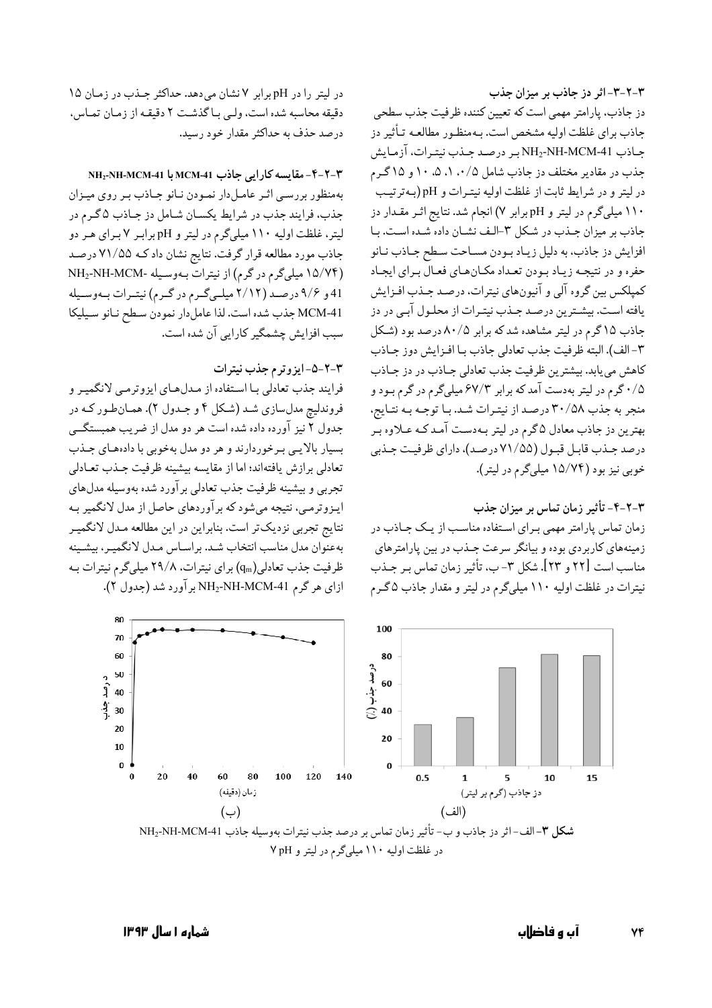80

 $70$ 60

> $10$  $\mathbf{0}$



80

درصد جذب<br>60 هجنب<br>40 ∷)

ایـزوترمـی، نتیجه می شود که برآوردهای حاصل از مدل لانگمیر بـه ۴-۲-۳- تأثیر زمان تماس بر میزان جذب نتايج تجربي نزديکتر است. بنابراين در اين مطالعه مـدل لانگميـر زمان تماس پارامتر مهمی برای استفاده مناسب از یک جـاذب در بهعنوان مدل مناسب انتخاب شد. براساس مـدل لانگميـر، بيشـينه زمینههای کاربردی بوده و بیانگر سرعت جـذب در بین پارامترهای مناسب است [٢٢ و ٢٣]. شكل ٣- ب، تأثير زمان تماس بـر جــذب ظرفیت جذب تعادلی(qm) برای نیترات، ۲۹/۸ میلیگرم نیترات به نیترات در غلظت اولیه ۱۱۰ میلیگرم در لیتر و مقدار جاذب ۵ گـرم ازای هر گرم NH2-NH-MCM-41 بر آورد شد (جدول ۲). 100

فرايند جذب تعادلي بـا اسـتفاده از مـدلهـاي ايزوترمـي لانگميـر و فروندليچ مدلسازي شـد (شـكل ۴ و جـدول ۲). همـانطـور كـه در جدول ۲ نیز آورده داده شده است هر دو مدل از ضریب همبستگے بسیار بالایی برخوردارند و هر دو مدل بهخوبی با دادههای جـذب تعادلي برازش يافتهاند؛ اما از مقايسه بيشينه ظرفيت جـذب تعـادلي تجربي و بيشينه ظرفيت جذب تعادلي برآورد شده بهوسيله مدلهاي

## ٣-٢-۵-ايزوترم جذب نيترات

دقيقه محاسبه شده است، ولبي بـا گذشت ٢ دقيقـه از زمـان تمـاس. درصد حذف به حداکثر مقدار خود رسید. ٣-٢-٣-مقايسه كارايي جاذب MCM-41 با NH2-NH-MCM-1 بهمنظور بررسے اثیر عامل دار نمیودن نبانو جباذب بیر روی مییزان جذب، فرایند جذب در شرایط یکسان شامل دز جـاذب ۵ گـرم در لیتر، غلظت اولیه ۱۱۰ میلیگرم در لیتر و pH برابر ۷ برای هر دو جاذب مورد مطالعه قرار گرفت. نتايج نشان داد كـه ٧١/٥۵ درصـد (۱۵/۷۴ میلیگرم در گرم) از نیترات بهوسیله -NH2-NH-MCM

سبب افزایش چشمگیر کارایی آن شده است.

در لیتر را در pH برابر ۷ نشان می دهد. حداکثر جلذب در زمان ۱۵

41 و ۹/۶ درصد (۲/۱۲ میلهیگرم در گرم) نیتورات بهوسیله

MCM-41 جذب شده است. لذا عامل دار نمودن سطح نانو سيليكا

۳-۲-۳- اثر دز جاذب بر میزان جذب دز جاذب، پارامتر مهمی است که تعیین کننده ظرفیت جذب سطحی جاذب برای غلظت اولیه مشخص است. بـهمنظـور مطالعـه تـأثیر دز جاذب NH2-NH-MCM-41بر درصد جـذب نيتـرات، آزمـايش جذب در مقادیر مختلف دز جاذب شامل ۰/۵، ۰/۱، ۵۰ ا و ۱۵گرم در ليتر و در شرايط ثابت از غلظت اوليه نيترات و pH (به ترتيب ۱۱۰ میلیگرم در لیتر و pH برابر ۷) انجام شد. نتایج اثـر مقـدار دز جاذب بر میزان جـذب در شـكل ٣-الـف نشـان داده شـده اسـت. بـا افزایش دز جاذب، به دلیل زیـاد بـودن مسـاحت سـطح جـاذب نـانو حفره و در نتیجـه زیـاد بـودن تعـداد مکـانهـاي فعـالّ بـراي ايجـاد كمپلكس بين گروه آلي و آنيونهاي نيترات، درصد جـذب افـزايش یافته است. بیشترین درصد جـذب نیتـرات از محلـول آبـی در دز جاذب ۱۵ گرم در لیتر مشاهده شد که برابر ۸۰/۵ درصد بود (شکل ٣-الف). البته ظرفيت جذب تعادلي جاذب بـا افـزايش دوز جـاذب كاهش مى يابد. بيشترين ظرفيت جذب تعادلى جـاذب در دز جـاذب ۰/۵ گرم در لیتر بهدست آمد که برابر ۶۷/۳ میلیگرم در گرم بـود و منجر به جذب ۳۰/۵۸ درصد از نیتـرات شـد. بـا توجـه بـه نتـايج، بهترین دز جاذب معادل ۵گرم در لیتر بـهدسـت آمـد کـه عـلاوه بـر درصد جذب قابل قبول (٧١/٥٥ درصد)، داراي ظرفيت جذبي خوبي نيز بود (١٥/٧۴ ميليگرم در ليتر).

٧۴

15

آں و فاضلاں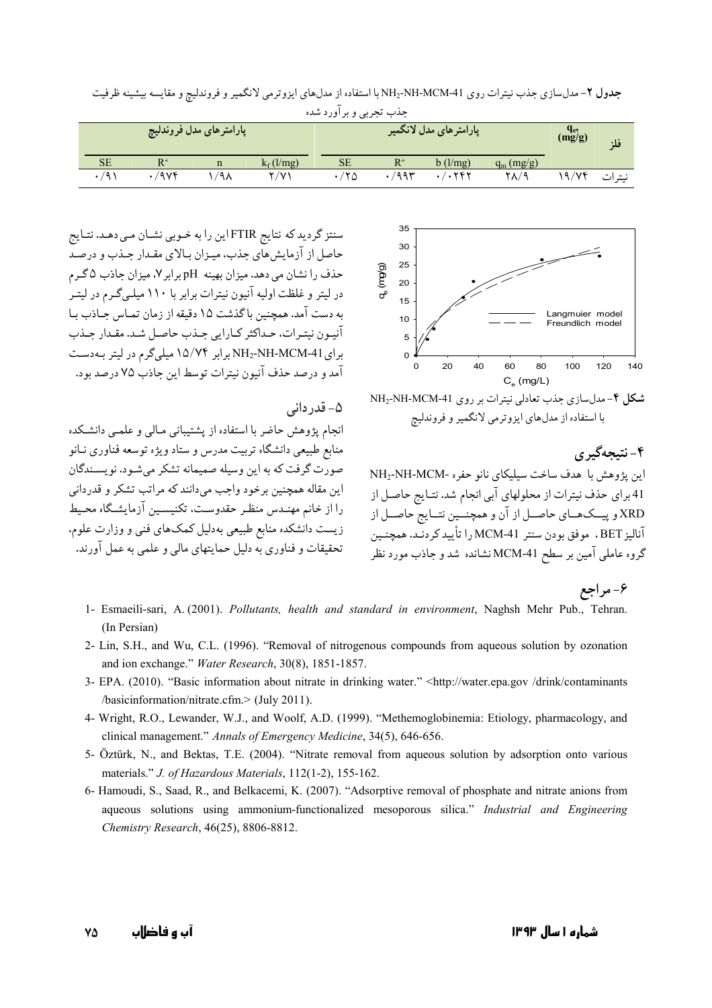جذب تجربي و برآورد شده يارامتر هاي مدل فروندلي<del>چ</del> بارامتر ها*ی مد*ل لانگمیر  $q_e$ <br>(mg/g) فلة **SE**  $R^2$  $\mathbf{n}$  $k_f$ (l/mg)  $SE$  $R^2$  $b$  (l/mg)  $q_m(mg/g)$  $\cdot$ /974  $1/9<sub>A</sub>$  $19/Yf$  $\cdot$ /9)  $Y/Y$  $\cdot$ /۲۵  $\cdot$ /995  $\cdot/\cdot$ ۲۸/۹ نيترات

جدول ۲- مدلسازی جذب نیترات روی NH2-NH-MCM-41 با استفاده از مدلهای ایزوترمی لانگمیر و فروندلیچ و مقایسه بیشینه ظرفیت



شکل ۴-مدلسازی جذب تعادلی نیترات بر روی NH2-NH-MCM-41 با استفاده از مدلهای ایزوترمی لانگمیر و فروندلیچ

## ۴-نتىجەگىرى

این پژوهش با هدف ساخت سیلیکای نانو حفره -NH2-NH-MCM 41 براي حذف نيترات از محلولهاي آبي انجام شد. نتـايج حاصـل از XRD و پیــکهــای حاصــل از آن و همچنــین نتــایج حاصــل از آناليز BET ، موفق بودن سنتر MCM-41 را تأييد كردنـد. همچنـين گروه عاملی آمین بر سطح MCM-41نشانده شد و جاذب مورد نظر

سنتز گردید که نتایج FTIRاین را به خـوبی نشـان مـی دهـد. نتـایج حاصل از آزمایش های جذب، میـزان بـالای مقـدار جـذب و درصـد حذف را نشان می دهد. میزان بهینه pH برابر ۷، میزان جاذب ۵ گـرم د, لته و غلظت اولیه آنیون نیترات برابر با ۱۱۰ میلـیگـرم در لیتـر به دست آمد. همچنین با گذشت ۱۵ دقیقه از زمان تمـاس جـاذب بـا آنيـون نيتـرات، حـداكثر كـارايي جـذب حاصـل شـد. مقـدار جـذب برای NH2-NH-MCM-41برابر ۱۵/۷۴ میلیگرم در لیتر بهدست آمد و درصد حذف آنیون نیترات توسط این جاذب ۷۵ درصد بود.

#### ۵- قدر دانی

انجام پژوهش حاضر با استفاده از پشتیبانی مـالی و علمـی دانشـکده منابع طبیعی دانشگاه تربیت مدرس و ستاد ویژه توسعه فناوری نـانو صورت گرفت که به این وسیله صمیمانه تشکر میشود. نویسـندگان این مقاله همچنین برخود واجب می،دانند که مراتب تشکر و قدردانی را از خانم مهنـدس منظـر حقدوسـت، تكنيسـين آزمايشـگاه محـيط زیست دانشکده منابع طبیعی بهدلیل کمکهای فنبی و وزارت علوم. تحقیقات و فناوری به دلیل جمایتهای مالی و علمی به عمل آورند.

۶- مراجع

- 1- Esmaeili-sari, A. (2001). Pollutants, health and standard in environment, Naghsh Mehr Pub., Tehran. (In Persian)
- 2- Lin, S.H., and Wu, C.L. (1996). "Removal of nitrogenous compounds from aqueous solution by ozonation and ion exchange." Water Research, 30(8), 1851-1857.
- 3- EPA. (2010). "Basic information about nitrate in drinking water." <http://water.epa.gov/drink/contaminants /basicinformation/nitrate.cfm.> (July 2011).
- 4- Wright, R.O., Lewander, W.J., and Woolf, A.D. (1999). "Methemoglobinemia: Etiology, pharmacology, and clinical management." Annals of Emergency Medicine, 34(5), 646-656.
- 5- Öztürk, N., and Bektas, T.E. (2004). "Nitrate removal from aqueous solution by adsorption onto various materials." J. of Hazardous Materials, 112(1-2), 155-162.
- 6- Hamoudi, S., Saad, R., and Belkacemi, K. (2007). "Adsorptive removal of phosphate and nitrate anions from aqueous solutions using ammonium-functionalized mesoporous silica." Industrial and Engineering Chemistry Research, 46(25), 8806-8812.